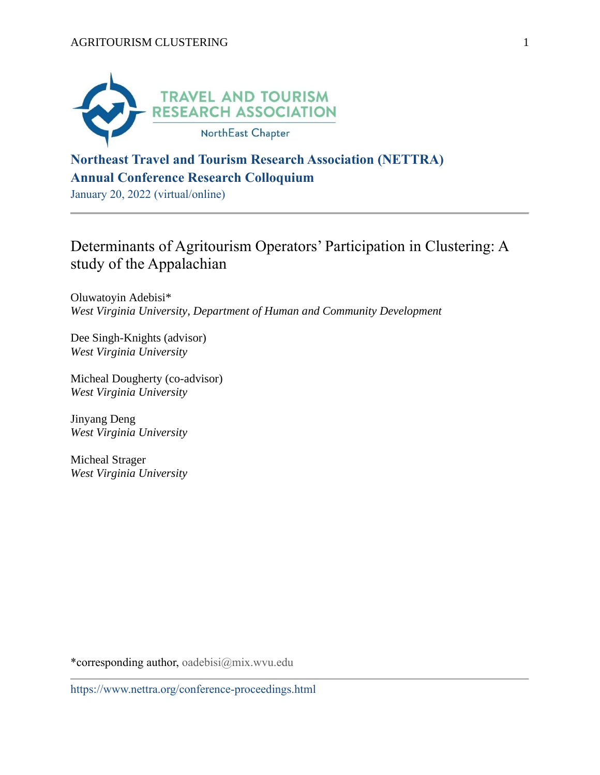

## **Northeast Travel and Tourism Research Association (NETTRA) Annual Conference Research Colloquium**

January 20, 2022 (virtual/online)

## Determinants of Agritourism Operators' Participation in Clustering: A study of the Appalachian

Oluwatoyin Adebisi\* *West Virginia University, Department of Human and Community Development*

Dee Singh-Knights (advisor) *West Virginia University*

Micheal Dougherty (co-advisor) *West Virginia University*

Jinyang Deng *West Virginia University*

Micheal Strager *West Virginia University*

\*corresponding author, oadebisi@mix.wvu.edu

https://www.nettra.org/conference-proceedings.html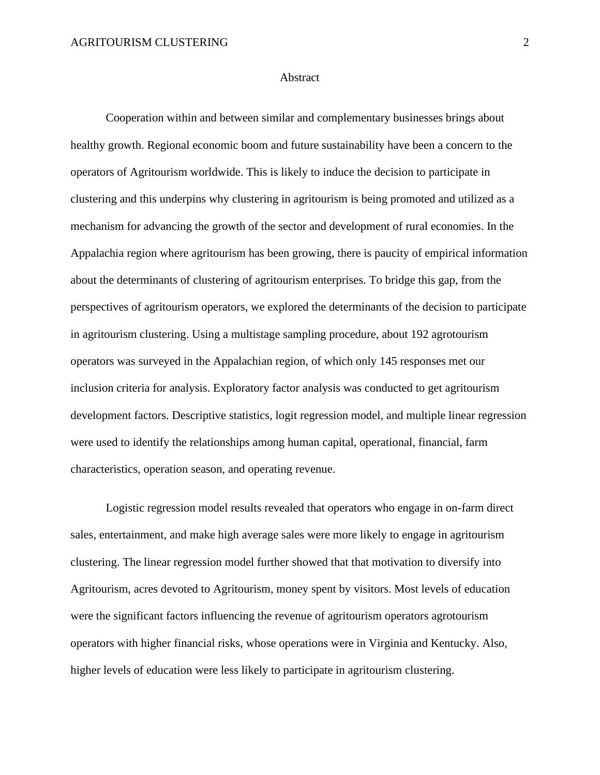## **Abstract**

Cooperation within and between similar and complementary businesses brings about healthy growth. Regional economic boom and future sustainability have been a concern to the operators of Agritourism worldwide. This is likely to induce the decision to participate in clustering and this underpins why clustering in agritourism is being promoted and utilized as a mechanism for advancing the growth of the sector and development of rural economies. In the Appalachia region where agritourism has been growing, there is paucity of empirical information about the determinants of clustering of agritourism enterprises. To bridge this gap, from the perspectives of agritourism operators, we explored the determinants of the decision to participate in agritourism clustering. Using a multistage sampling procedure, about 192 agrotourism operators was surveyed in the Appalachian region, of which only 145 responses met our inclusion criteria for analysis. Exploratory factor analysis was conducted to get agritourism development factors. Descriptive statistics, logit regression model, and multiple linear regression were used to identify the relationships among human capital, operational, financial, farm characteristics, operation season, and operating revenue.

Logistic regression model results revealed that operators who engage in on-farm direct sales, entertainment, and make high average sales were more likely to engage in agritourism clustering. The linear regression model further showed that that motivation to diversify into Agritourism, acres devoted to Agritourism, money spent by visitors. Most levels of education were the significant factors influencing the revenue of agritourism operators agrotourism operators with higher financial risks, whose operations were in Virginia and Kentucky. Also, higher levels of education were less likely to participate in agritourism clustering.